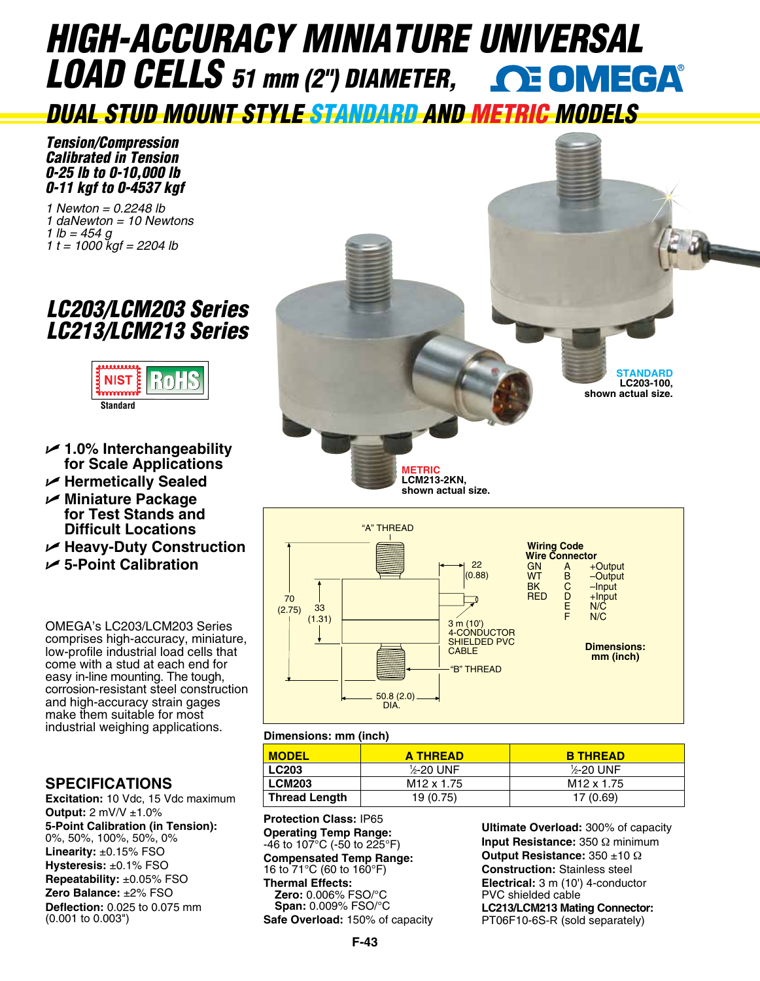# *HIGH-ACCURACY MINIATURE [UNIVERSAL](www.omega.com)  LOAD CELLS 51 mm (2") DIAMETER,*

*DUAL STUD MOUNT STYLE STANDARD AND METRIC MODELS*

*Tension/Compression Calibrated in Tension 0-25 lb to 0-10,000 lb 0-11 kgf to 0-4537 kgf*

*1 Newton = 0.2248 lb 1 daNewton = 10 Newtons 1 lb = 454 g 1 t = 1000 kgf = 2204 lb*

# *LC203/LCM203 Series LC213/LCM213 Series*



- U **1.0% Interchangeability for Scale Applications**
- U **Hermetically Sealed**
- U **Miniature Package for Test Stands and Difficult Locations**
- U **Heavy-Duty Construction**
- U **5-Point Calibration**

OMEGA's LC203/LCM203 Series comprises high-accuracy, miniature, low-profile industrial load cells that come with a stud at each end for easy in-line mounting. The tough, corrosion-resistant steel construction and high-accuracy strain gages make them suitable for most industrial weighing applications.

# **SPECIFICATIONS**

**Excitation:** 10 Vdc, 15 Vdc maximum **Output:** 2 mV/V ±1.0% **5-Point Calibration (in Tension):**  0%, 50%, 100%, 50%, 0% **Linearity:** ±0.15% FSO **Hysteresis:** ±0.1% FSO **Repeatability:** ±0.05% FSO **Zero Balance:** ±2% FSO **Deflection:** 0.025 to 0.075 mm (0.001 to 0.003")





## **Dimensions: mm (inch)**

| <b>MODEL</b>  | <b>A THREAD</b>        | <b>B THREAD</b>         |
|---------------|------------------------|-------------------------|
| <b>LC203</b>  | 1/2-20 UNF             | 1/ <sub>2</sub> -20 UNF |
| <b>LCM203</b> | M <sub>12</sub> x 1.75 | M <sub>12</sub> x 1.75  |
| Thread Length | 19 (0.75)              | 17 (0.69)               |

**Protection Class:** IP65 **Operating Temp Range:**  -46 to 107°C (-50 to 225°F) **Compensated Temp Range:**  16 to 71°C (60 to 160°F) **Thermal Effects: Zero:** 0.006% FSO/°C **Span:** 0.009% FSO/°C **Safe Overload:** 150% of capacity

**Ultimate Overload:** 300% of capacity **Input Resistance:** 350 Ω minimum **Output Resistance:** 350 ±10 Ω **Construction:** Stainless steel **Electrical:** 3 m (10') 4-conductor PVC shielded cable **LC213/LCM213 Mating Connector:** PT06F10-6S-R (sold separately)